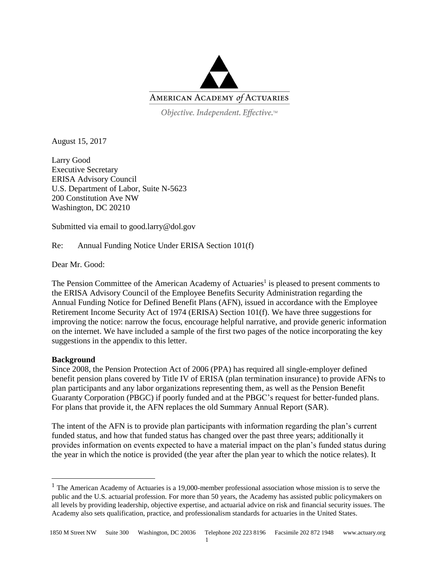

Objective. Independent. Effective.™

August 15, 2017

Larry Good Executive Secretary ERISA Advisory Council U.S. Department of Labor, Suite N-5623 200 Constitution Ave NW Washington, DC 20210

Submitted via email to good.larry@dol.gov

Re: Annual Funding Notice Under ERISA Section 101(f)

Dear Mr. Good:

The Pension Committee of the American Academy of Actuaries<sup>1</sup> is pleased to present comments to the ERISA Advisory Council of the Employee Benefits Security Administration regarding the Annual Funding Notice for Defined Benefit Plans (AFN), issued in accordance with the Employee Retirement Income Security Act of 1974 (ERISA) Section 101(f). We have three suggestions for improving the notice: narrow the focus, encourage helpful narrative, and provide generic information on the internet. We have included a sample of the first two pages of the notice incorporating the key suggestions in the appendix to this letter.

### **Background**

Since 2008, the Pension Protection Act of 2006 (PPA) has required all single-employer defined benefit pension plans covered by Title IV of ERISA (plan termination insurance) to provide AFNs to plan participants and any labor organizations representing them, as well as the Pension Benefit Guaranty Corporation (PBGC) if poorly funded and at the PBGC's request for better-funded plans. For plans that provide it, the AFN replaces the old Summary Annual Report (SAR).

The intent of the AFN is to provide plan participants with information regarding the plan's current funded status, and how that funded status has changed over the past three years; additionally it provides information on events expected to have a material impact on the plan's funded status during the year in which the notice is provided (the year after the plan year to which the notice relates). It

<sup>&</sup>lt;sup>1</sup> The American Academy of Actuaries is a 19,000-member professional association whose mission is to serve the public and the U.S. actuarial profession. For more than 50 years, the Academy has assisted public policymakers on all levels by providing leadership, objective expertise, and actuarial advice on risk and financial security issues. The Academy also sets qualification, practice, and professionalism standards for actuaries in the United States.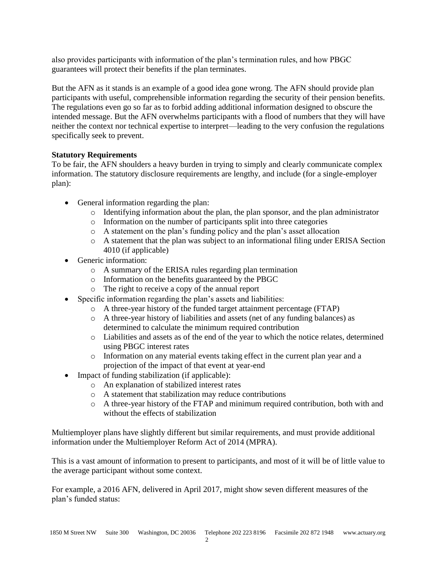also provides participants with information of the plan's termination rules, and how PBGC guarantees will protect their benefits if the plan terminates.

But the AFN as it stands is an example of a good idea gone wrong. The AFN should provide plan participants with useful, comprehensible information regarding the security of their pension benefits. The regulations even go so far as to forbid adding additional information designed to obscure the intended message. But the AFN overwhelms participants with a flood of numbers that they will have neither the context nor technical expertise to interpret—leading to the very confusion the regulations specifically seek to prevent.

## **Statutory Requirements**

To be fair, the AFN shoulders a heavy burden in trying to simply and clearly communicate complex information. The statutory disclosure requirements are lengthy, and include (for a single-employer plan):

- General information regarding the plan:
	- o Identifying information about the plan, the plan sponsor, and the plan administrator
	- o Information on the number of participants split into three categories
	- o A statement on the plan's funding policy and the plan's asset allocation
	- o A statement that the plan was subject to an informational filing under ERISA Section 4010 (if applicable)
- Generic information:
	- o A summary of the ERISA rules regarding plan termination
	- o Information on the benefits guaranteed by the PBGC
	- o The right to receive a copy of the annual report
- Specific information regarding the plan's assets and liabilities:
	- o A three-year history of the funded target attainment percentage (FTAP)
	- o A three-year history of liabilities and assets (net of any funding balances) as determined to calculate the minimum required contribution
	- o Liabilities and assets as of the end of the year to which the notice relates, determined using PBGC interest rates
	- o Information on any material events taking effect in the current plan year and a projection of the impact of that event at year-end
- Impact of funding stabilization (if applicable):
	- o An explanation of stabilized interest rates
	- o A statement that stabilization may reduce contributions
	- o A three-year history of the FTAP and minimum required contribution, both with and without the effects of stabilization

Multiemployer plans have slightly different but similar requirements, and must provide additional information under the Multiemployer Reform Act of 2014 (MPRA).

This is a vast amount of information to present to participants, and most of it will be of little value to the average participant without some context.

For example, a 2016 AFN, delivered in April 2017, might show seven different measures of the plan's funded status: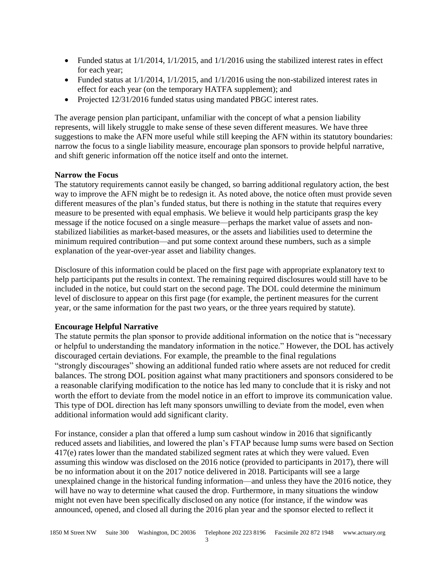- Funded status at  $1/1/2014$ ,  $1/1/2015$ , and  $1/1/2016$  using the stabilized interest rates in effect for each year;
- Funded status at  $1/1/2014$ ,  $1/1/2015$ , and  $1/1/2016$  using the non-stabilized interest rates in effect for each year (on the temporary HATFA supplement); and
- Projected 12/31/2016 funded status using mandated PBGC interest rates.

The average pension plan participant, unfamiliar with the concept of what a pension liability represents, will likely struggle to make sense of these seven different measures. We have three suggestions to make the AFN more useful while still keeping the AFN within its statutory boundaries: narrow the focus to a single liability measure, encourage plan sponsors to provide helpful narrative, and shift generic information off the notice itself and onto the internet.

## **Narrow the Focus**

The statutory requirements cannot easily be changed, so barring additional regulatory action, the best way to improve the AFN might be to redesign it. As noted above, the notice often must provide seven different measures of the plan's funded status, but there is nothing in the statute that requires every measure to be presented with equal emphasis. We believe it would help participants grasp the key message if the notice focused on a single measure—perhaps the market value of assets and nonstabilized liabilities as market-based measures, or the assets and liabilities used to determine the minimum required contribution—and put some context around these numbers, such as a simple explanation of the year-over-year asset and liability changes.

Disclosure of this information could be placed on the first page with appropriate explanatory text to help participants put the results in context. The remaining required disclosures would still have to be included in the notice, but could start on the second page. The DOL could determine the minimum level of disclosure to appear on this first page (for example, the pertinent measures for the current year, or the same information for the past two years, or the three years required by statute).

### **Encourage Helpful Narrative**

The statute permits the plan sponsor to provide additional information on the notice that is "necessary or helpful to understanding the mandatory information in the notice." However, the DOL has actively discouraged certain deviations. For example, the preamble to the final regulations "strongly discourages" showing an additional funded ratio where assets are not reduced for credit balances. The strong DOL position against what many practitioners and sponsors considered to be a reasonable clarifying modification to the notice has led many to conclude that it is risky and not worth the effort to deviate from the model notice in an effort to improve its communication value. This type of DOL direction has left many sponsors unwilling to deviate from the model, even when additional information would add significant clarity.

For instance, consider a plan that offered a lump sum cashout window in 2016 that significantly reduced assets and liabilities, and lowered the plan's FTAP because lump sums were based on Section 417(e) rates lower than the mandated stabilized segment rates at which they were valued. Even assuming this window was disclosed on the 2016 notice (provided to participants in 2017), there will be no information about it on the 2017 notice delivered in 2018. Participants will see a large unexplained change in the historical funding information—and unless they have the 2016 notice, they will have no way to determine what caused the drop. Furthermore, in many situations the window might not even have been specifically disclosed on any notice (for instance, if the window was announced, opened, and closed all during the 2016 plan year and the sponsor elected to reflect it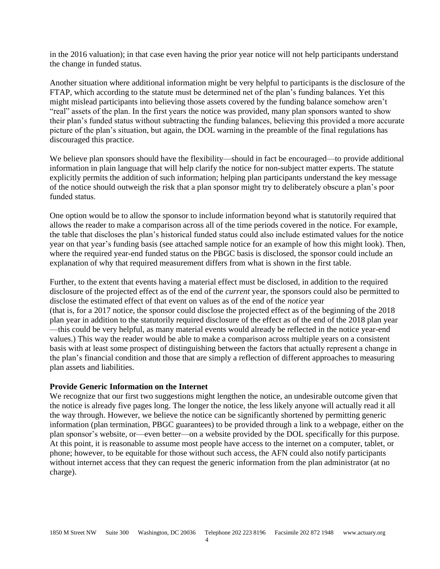in the 2016 valuation); in that case even having the prior year notice will not help participants understand the change in funded status.

Another situation where additional information might be very helpful to participants is the disclosure of the FTAP, which according to the statute must be determined net of the plan's funding balances. Yet this might mislead participants into believing those assets covered by the funding balance somehow aren't "real" assets of the plan. In the first years the notice was provided, many plan sponsors wanted to show their plan's funded status without subtracting the funding balances, believing this provided a more accurate picture of the plan's situation, but again, the DOL warning in the preamble of the final regulations has discouraged this practice.

We believe plan sponsors should have the flexibility—should in fact be encouraged—to provide additional information in plain language that will help clarify the notice for non-subject matter experts. The statute explicitly permits the addition of such information; helping plan participants understand the key message of the notice should outweigh the risk that a plan sponsor might try to deliberately obscure a plan's poor funded status.

One option would be to allow the sponsor to include information beyond what is statutorily required that allows the reader to make a comparison across all of the time periods covered in the notice. For example, the table that discloses the plan's historical funded status could also include estimated values for the notice year on that year's funding basis (see attached sample notice for an example of how this might look). Then, where the required year-end funded status on the PBGC basis is disclosed, the sponsor could include an explanation of why that required measurement differs from what is shown in the first table.

Further, to the extent that events having a material effect must be disclosed, in addition to the required disclosure of the projected effect as of the end of the *current* year, the sponsors could also be permitted to disclose the estimated effect of that event on values as of the end of the *notice* year (that is, for a 2017 notice, the sponsor could disclose the projected effect as of the beginning of the 2018 plan year in addition to the statutorily required disclosure of the effect as of the end of the 2018 plan year —this could be very helpful, as many material events would already be reflected in the notice year-end values.) This way the reader would be able to make a comparison across multiple years on a consistent basis with at least some prospect of distinguishing between the factors that actually represent a change in the plan's financial condition and those that are simply a reflection of different approaches to measuring plan assets and liabilities.

#### **Provide Generic Information on the Internet**

We recognize that our first two suggestions might lengthen the notice, an undesirable outcome given that the notice is already five pages long. The longer the notice, the less likely anyone will actually read it all the way through. However, we believe the notice can be significantly shortened by permitting generic information (plan termination, PBGC guarantees) to be provided through a link to a webpage, either on the plan sponsor's website, or—even better—on a website provided by the DOL specifically for this purpose. At this point, it is reasonable to assume most people have access to the internet on a computer, tablet, or phone; however, to be equitable for those without such access, the AFN could also notify participants without internet access that they can request the generic information from the plan administrator (at no charge).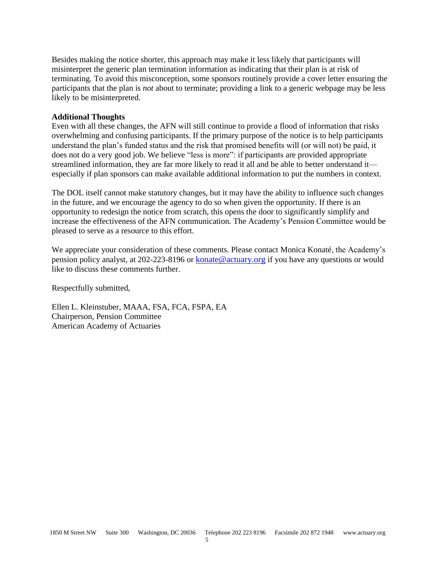Besides making the notice shorter, this approach may make it less likely that participants will misinterpret the generic plan termination information as indicating that their plan is at risk of terminating. To avoid this misconception, some sponsors routinely provide a cover letter ensuring the participants that the plan is *not* about to terminate; providing a link to a generic webpage may be less likely to be misinterpreted.

#### **Additional Thoughts**

Even with all these changes, the AFN will still continue to provide a flood of information that risks overwhelming and confusing participants. If the primary purpose of the notice is to help participants understand the plan's funded status and the risk that promised benefits will (or will not) be paid, it does not do a very good job. We believe "less is more": if participants are provided appropriate streamlined information, they are far more likely to read it all and be able to better understand it especially if plan sponsors can make available additional information to put the numbers in context.

The DOL itself cannot make statutory changes, but it may have the ability to influence such changes in the future, and we encourage the agency to do so when given the opportunity. If there is an opportunity to redesign the notice from scratch, this opens the door to significantly simplify and increase the effectiveness of the AFN communication. The Academy's Pension Committee would be pleased to serve as a resource to this effort.

We appreciate your consideration of these comments. Please contact Monica Konaté, the Academy's pension policy analyst, at 202-223-8196 or [konate@actuary.org](mailto:konate@actuary.org) if you have any questions or would like to discuss these comments further.

Respectfully submitted,

Ellen L. Kleinstuber, MAAA, FSA, FCA, FSPA, EA Chairperson, Pension Committee American Academy of Actuaries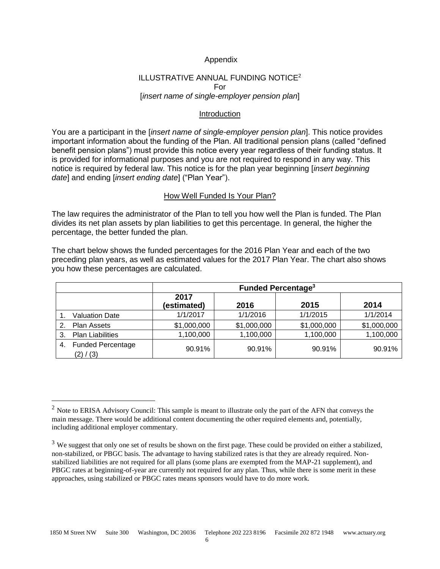## Appendix

# ILLUSTRATIVE ANNUAL FUNDING NOTICE<sup>2</sup> For [*insert name of single-employer pension plan*]

#### Introduction

You are a participant in the [*insert name of single-employer pension plan*]. This notice provides important information about the funding of the Plan. All traditional pension plans (called "defined benefit pension plans") must provide this notice every year regardless of their funding status. It is provided for informational purposes and you are not required to respond in any way. This notice is required by federal law. This notice is for the plan year beginning [*insert beginning date*] and ending [*insert ending date*] ("Plan Year").

### How Well Funded Is Your Plan?

The law requires the administrator of the Plan to tell you how well the Plan is funded. The Plan divides its net plan assets by plan liabilities to get this percentage. In general, the higher the percentage, the better funded the plan.

The chart below shows the funded percentages for the 2016 Plan Year and each of the two preceding plan years, as well as estimated values for the 2017 Plan Year. The chart also shows you how these percentages are calculated.

|    |                                       | <b>Funded Percentage<sup>3</sup></b> |             |             |             |  |
|----|---------------------------------------|--------------------------------------|-------------|-------------|-------------|--|
|    |                                       | 2017<br>(estimated)                  | 2016        | 2015        | 2014        |  |
|    | <b>Valuation Date</b>                 | 1/1/2017                             | 1/1/2016    | 1/1/2015    | 1/1/2014    |  |
| 2. | Plan Assets                           | \$1,000,000                          | \$1,000,000 | \$1,000,000 | \$1,000,000 |  |
| 3. | <b>Plan Liabilities</b>               | 1,100,000                            | 1,100,000   | 1,100,000   | 1,100,000   |  |
| 4. | <b>Funded Percentage</b><br>(2) / (3) | 90.91%                               | 90.91%      | 90.91%      | 90.91%      |  |

<sup>&</sup>lt;sup>2</sup> Note to ERISA Advisory Council: This sample is meant to illustrate only the part of the AFN that conveys the main message. There would be additional content documenting the other required elements and, potentially, including additional employer commentary.

 $3$  We suggest that only one set of results be shown on the first page. These could be provided on either a stabilized, non-stabilized, or PBGC basis. The advantage to having stabilized rates is that they are already required. Nonstabilized liabilities are not required for all plans (some plans are exempted from the MAP-21 supplement), and PBGC rates at beginning-of-year are currently not required for any plan. Thus, while there is some merit in these approaches, using stabilized or PBGC rates means sponsors would have to do more work.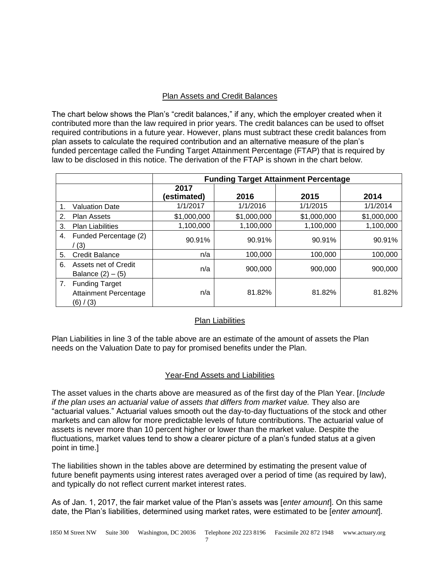# Plan Assets and Credit Balances

The chart below shows the Plan's "credit balances," if any, which the employer created when it contributed more than the law required in prior years. The credit balances can be used to offset required contributions in a future year. However, plans must subtract these credit balances from plan assets to calculate the required contribution and an alternative measure of the plan's funded percentage called the Funding Target Attainment Percentage (FTAP) that is required by law to be disclosed in this notice. The derivation of the FTAP is shown in the chart below.

|    |                                                                    | <b>Funding Target Attainment Percentage</b> |             |             |             |  |
|----|--------------------------------------------------------------------|---------------------------------------------|-------------|-------------|-------------|--|
|    |                                                                    | 2017<br>(estimated)                         | 2016        | 2015        | 2014        |  |
|    | <b>Valuation Date</b>                                              | 1/1/2017                                    | 1/1/2016    | 1/1/2015    | 1/1/2014    |  |
| 2. | Plan Assets                                                        | \$1,000,000                                 | \$1,000,000 | \$1,000,000 | \$1,000,000 |  |
| 3. | <b>Plan Liabilities</b>                                            | 1,100,000                                   | 1,100,000   | 1,100,000   | 1,100,000   |  |
| 4. | Funded Percentage (2)<br>(3)                                       | 90.91%                                      | 90.91%      | 90.91%      | 90.91%      |  |
| 5. | <b>Credit Balance</b>                                              | n/a                                         | 100,000     | 100,000     | 100,000     |  |
| 6. | Assets net of Credit<br>Balance $(2) - (5)$                        | n/a                                         | 900,000     | 900,000     | 900,000     |  |
| 7. | <b>Funding Target</b><br><b>Attainment Percentage</b><br>(6) / (3) | n/a                                         | 81.82%      | 81.82%      | 81.82%      |  |

# Plan Liabilities

Plan Liabilities in line 3 of the table above are an estimate of the amount of assets the Plan needs on the Valuation Date to pay for promised benefits under the Plan.

# Year-End Assets and Liabilities

The asset values in the charts above are measured as of the first day of the Plan Year. [*Include if the plan uses an actuarial value of assets that differs from market value.* They also are "actuarial values." Actuarial values smooth out the day-to-day fluctuations of the stock and other markets and can allow for more predictable levels of future contributions. The actuarial value of assets is never more than 10 percent higher or lower than the market value. Despite the fluctuations, market values tend to show a clearer picture of a plan's funded status at a given point in time.]

The liabilities shown in the tables above are determined by estimating the present value of future benefit payments using interest rates averaged over a period of time (as required by law), and typically do not reflect current market interest rates.

As of Jan. 1, 2017, the fair market value of the Plan's assets was [*enter amount*]. On this same date, the Plan's liabilities, determined using market rates, were estimated to be [*enter amount*].

7